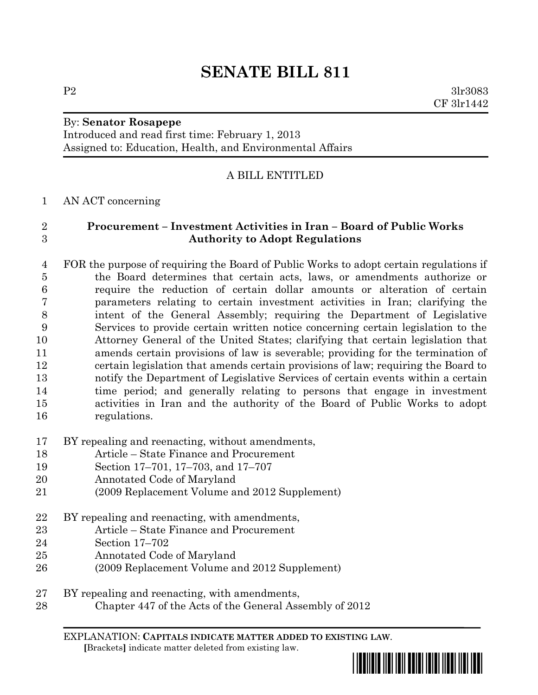# **SENATE BILL 811**

### By: **Senator Rosapepe**

Introduced and read first time: February 1, 2013 Assigned to: Education, Health, and Environmental Affairs

# A BILL ENTITLED

## AN ACT concerning

# **Procurement – Investment Activities in Iran – Board of Public Works Authority to Adopt Regulations**

- FOR the purpose of requiring the Board of Public Works to adopt certain regulations if the Board determines that certain acts, laws, or amendments authorize or require the reduction of certain dollar amounts or alteration of certain parameters relating to certain investment activities in Iran; clarifying the intent of the General Assembly; requiring the Department of Legislative Services to provide certain written notice concerning certain legislation to the Attorney General of the United States; clarifying that certain legislation that amends certain provisions of law is severable; providing for the termination of certain legislation that amends certain provisions of law; requiring the Board to notify the Department of Legislative Services of certain events within a certain time period; and generally relating to persons that engage in investment activities in Iran and the authority of the Board of Public Works to adopt regulations.
- BY repealing and reenacting, without amendments,
- Article State Finance and Procurement
- Section 17–701, 17–703, and 17–707
- Annotated Code of Maryland
- (2009 Replacement Volume and 2012 Supplement)
- BY repealing and reenacting, with amendments,
- Article State Finance and Procurement
- Section 17–702
- Annotated Code of Maryland
- (2009 Replacement Volume and 2012 Supplement)
- BY repealing and reenacting, with amendments,
- Chapter 447 of the Acts of the General Assembly of 2012

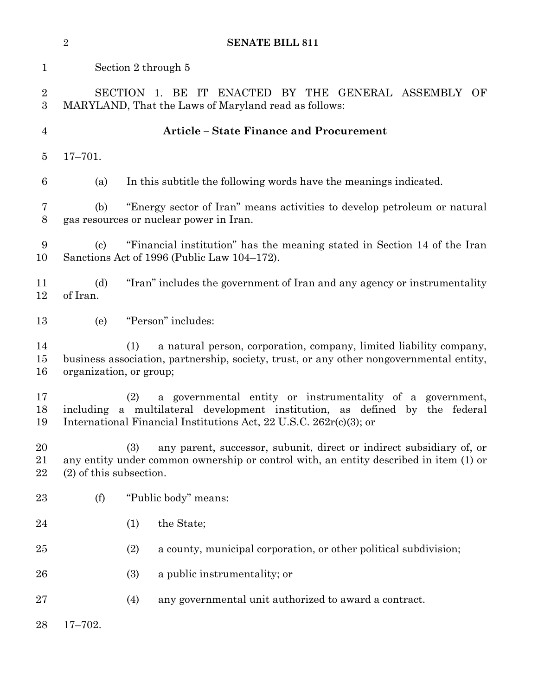|                     | $\overline{2}$                                                                                                                                                                                                        |                                                                                                                     | <b>SENATE BILL 811</b>                                                   |  |
|---------------------|-----------------------------------------------------------------------------------------------------------------------------------------------------------------------------------------------------------------------|---------------------------------------------------------------------------------------------------------------------|--------------------------------------------------------------------------|--|
| $\mathbf{1}$        | Section 2 through 5                                                                                                                                                                                                   |                                                                                                                     |                                                                          |  |
| $\overline{2}$<br>3 | SECTION 1. BE IT ENACTED BY THE GENERAL ASSEMBLY<br>- OF<br>MARYLAND, That the Laws of Maryland read as follows:                                                                                                      |                                                                                                                     |                                                                          |  |
| 4                   | <b>Article - State Finance and Procurement</b>                                                                                                                                                                        |                                                                                                                     |                                                                          |  |
| 5                   | $17 - 701.$                                                                                                                                                                                                           |                                                                                                                     |                                                                          |  |
| 6                   | (a)                                                                                                                                                                                                                   |                                                                                                                     | In this subtitle the following words have the meanings indicated.        |  |
| 7<br>8              | (b)                                                                                                                                                                                                                   | "Energy sector of Iran" means activities to develop petroleum or natural<br>gas resources or nuclear power in Iran. |                                                                          |  |
| 9<br>10             | "Financial institution" has the meaning stated in Section 14 of the Iran<br>$\left( \mathrm{c}\right)$<br>Sanctions Act of 1996 (Public Law 104–172).                                                                 |                                                                                                                     |                                                                          |  |
| 11<br>12            | (d)<br>of Iran.                                                                                                                                                                                                       |                                                                                                                     | "Iran" includes the government of Iran and any agency or instrumentality |  |
| 13                  | (e)                                                                                                                                                                                                                   |                                                                                                                     | "Person" includes:                                                       |  |
| 14<br>$15\,$<br>16  | a natural person, corporation, company, limited liability company,<br>(1)<br>business association, partnership, society, trust, or any other nongovernmental entity,<br>organization, or group;                       |                                                                                                                     |                                                                          |  |
| 17<br>18<br>19      | a governmental entity or instrumentality of a government,<br>(2)<br>including a multilateral development institution, as defined by the federal<br>International Financial Institutions Act, 22 U.S.C. 262r(c)(3); or |                                                                                                                     |                                                                          |  |
| 20<br>21<br>22      | any parent, successor, subunit, direct or indirect subsidiary of, or<br>(3)<br>any entity under common ownership or control with, an entity described in item (1) or<br>$(2)$ of this subsection.                     |                                                                                                                     |                                                                          |  |
| $23\,$              | (f)                                                                                                                                                                                                                   |                                                                                                                     | "Public body" means:                                                     |  |
| 24                  |                                                                                                                                                                                                                       | (1)                                                                                                                 | the State;                                                               |  |
| $25\,$              |                                                                                                                                                                                                                       | (2)                                                                                                                 | a county, municipal corporation, or other political subdivision;         |  |
| 26                  |                                                                                                                                                                                                                       | (3)                                                                                                                 | a public instrumentality; or                                             |  |
| $27\,$              |                                                                                                                                                                                                                       | (4)                                                                                                                 | any governmental unit authorized to award a contract.                    |  |
| 28                  | $17 - 702.$                                                                                                                                                                                                           |                                                                                                                     |                                                                          |  |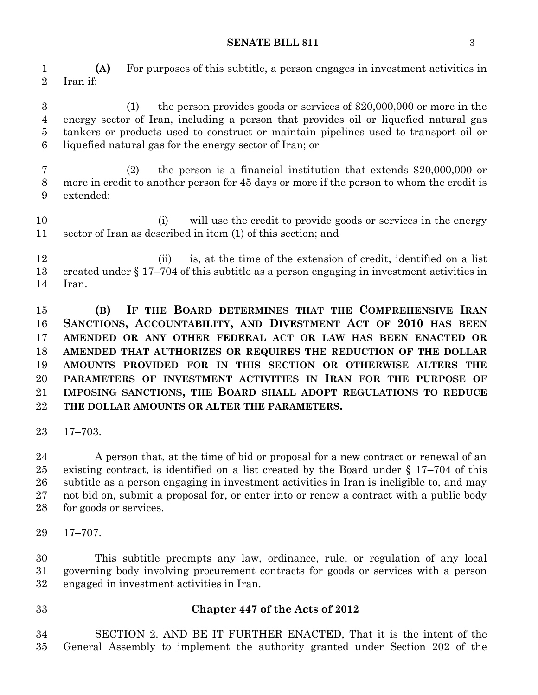#### **SENATE BILL 811** 3

 **(A)** For purposes of this subtitle, a person engages in investment activities in Iran if:

 (1) the person provides goods or services of \$20,000,000 or more in the energy sector of Iran, including a person that provides oil or liquefied natural gas tankers or products used to construct or maintain pipelines used to transport oil or liquefied natural gas for the energy sector of Iran; or

 (2) the person is a financial institution that extends \$20,000,000 or more in credit to another person for 45 days or more if the person to whom the credit is extended:

 (i) will use the credit to provide goods or services in the energy sector of Iran as described in item (1) of this section; and

12 (ii) is, at the time of the extension of credit, identified on a list created under § 17–704 of this subtitle as a person engaging in investment activities in Iran.

 **(B) IF THE BOARD DETERMINES THAT THE COMPREHENSIVE IRAN SANCTIONS, ACCOUNTABILITY, AND DIVESTMENT ACT OF 2010 HAS BEEN AMENDED OR ANY OTHER FEDERAL ACT OR LAW HAS BEEN ENACTED OR AMENDED THAT AUTHORIZES OR REQUIRES THE REDUCTION OF THE DOLLAR AMOUNTS PROVIDED FOR IN THIS SECTION OR OTHERWISE ALTERS THE PARAMETERS OF INVESTMENT ACTIVITIES IN IRAN FOR THE PURPOSE OF IMPOSING SANCTIONS, THE BOARD SHALL ADOPT REGULATIONS TO REDUCE THE DOLLAR AMOUNTS OR ALTER THE PARAMETERS.**

17–703.

24 A person that, at the time of bid or proposal for a new contract or renewal of an existing contract, is identified on a list created by the Board under § 17–704 of this subtitle as a person engaging in investment activities in Iran is ineligible to, and may not bid on, submit a proposal for, or enter into or renew a contract with a public body for goods or services.

17–707.

 This subtitle preempts any law, ordinance, rule, or regulation of any local governing body involving procurement contracts for goods or services with a person engaged in investment activities in Iran.

## **Chapter 447 of the Acts of 2012**

 SECTION 2. AND BE IT FURTHER ENACTED, That it is the intent of the General Assembly to implement the authority granted under Section 202 of the